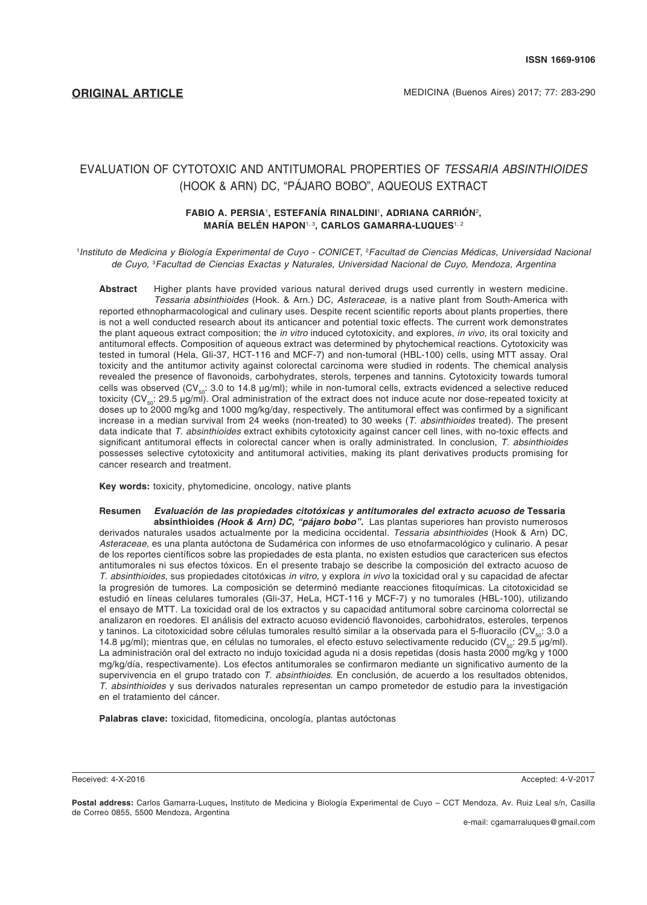**ORIGINAL ARTICLE MEDICINA** (Buenos Aires) 2017; 77: 283-290

# EVALUATION OF CYTOTOXIC AND ANTITUMORAL PROPERTIES OF *TESSARIA ABSINTHIOIDES* (HOOK & ARN) DC, "PÁJARO BOBO", AQUEOUS EXTRACT

## **FABIO A. PERSIA**<sup>1</sup> **, ESTEFANÍA RINALDINI**<sup>1</sup> **, ADRIANA CARRIÓN**<sup>2</sup> **, MARÍA BELÉN HAPON**1, 3**, CARLOS GAMARRA-LUQUES**1, 2

<sup>1</sup>Instituto de Medicina y Biología Experimental de Cuyo - CONICET, <sup>2</sup>Facultad de Ciencias Médicas, Universidad Nacional *de Cuyo,* <sup>3</sup> *Facultad de Ciencias Exactas y Naturales, Universidad Nacional de Cuyo, Mendoza, Argentina*

**Abstract** Higher plants have provided various natural derived drugs used currently in western medicine. *Tessaria absinthioides* (Hook. & Arn.) DC, *Asteraceae*, is a native plant from South-America with reported ethnopharmacological and culinary uses. Despite recent scientific reports about plants properties, there is not a well conducted research about its anticancer and potential toxic effects. The current work demonstrates the plant aqueous extract composition; the *in vitro* induced cytotoxicity, and explores, *in vivo,* its oral toxicity and antitumoral effects. Composition of aqueous extract was determined by phytochemical reactions. Cytotoxicity was tested in tumoral (Hela, Gli-37, HCT-116 and MCF-7) and non-tumoral (HBL-100) cells, using MTT assay. Oral toxicity and the antitumor activity against colorectal carcinoma were studied in rodents. The chemical analysis revealed the presence of flavonoids, carbohydrates, sterols, terpenes and tannins. Cytotoxicity towards tumoral cells was observed (CV<sub>50</sub>: 3.0 to 14.8 µg/ml); while in non-tumoral cells, extracts evidenced a selective reduced toxicity (CV<sub>50</sub>: 29.5 µg/ml). Oral administration of the extract does not induce acute nor dose-repeated toxicity at doses up to 2000 mg/kg and 1000 mg/kg/day, respectively. The antitumoral effect was confirmed by a significant increase in a median survival from 24 weeks (non-treated) to 30 weeks (*T. absinthioides* treated). The present data indicate that *T. absinthioides* extract exhibits cytotoxicity against cancer cell lines, with no-toxic effects and significant antitumoral effects in colorectal cancer when is orally administrated. In conclusion, *T. absinthioides*  possesses selective cytotoxicity and antitumoral activities, making its plant derivatives products promising for cancer research and treatment.

**Key words:** toxicity, phytomedicine, oncology, native plants

#### **Resumen** *Evaluación de las propiedades citotóxicas y antitumorales del extracto acuoso de* **Tessaria absinthioides** *(Hook & Arn) DC, "pájaro bobo".* Las plantas superiores han provisto numerosos derivados naturales usados actualmente por la medicina occidental. *Tessaria absinthioides* (Hook & Arn) DC, *Asteraceae*, es una planta autóctona de Sudamérica con informes de uso etnofarmacológico y culinario. A pesar de los reportes científicos sobre las propiedades de esta planta, no existen estudios que caractericen sus efectos antitumorales ni sus efectos tóxicos. En el presente trabajo se describe la composición del extracto acuoso de *T. absinthioides,* sus propiedades citotóxicas *in vitro,* y explora *in vivo* la toxicidad oral y su capacidad de afectar la progresión de tumores. La composición se determinó mediante reacciones fitoquímicas. La citotoxicidad se estudió en líneas celulares tumorales (Gli-37, HeLa, HCT-116 y MCF-7) y no tumorales (HBL-100), utilizando el ensayo de MTT. La toxicidad oral de los extractos y su capacidad antitumoral sobre carcinoma colorrectal se analizaron en roedores. El análisis del extracto acuoso evidenció flavonoides, carbohidratos, esteroles, terpenos y taninos. La citotoxicidad sobre células tumorales resultó similar a la observada para el 5-fluoracilo (CV<sub>50</sub>: 3.0 a 14.8 μg/ml); mientras que, en células no tumorales, el efecto estuvo selectivamente reducido (CV<sub>εο</sub>: 29.5 μg/ml). La administración oral del extracto no indujo toxicidad aguda ni a dosis repetidas (dosis hasta 2000 mg/kg y 1000 mg/kg/día, respectivamente). Los efectos antitumorales se confirmaron mediante un significativo aumento de la supervivencia en el grupo tratado con *T. absinthioides*. En conclusión, de acuerdo a los resultados obtenidos, *T. absinthioides* y sus derivados naturales representan un campo prometedor de estudio para la investigación en el tratamiento del cáncer.

**Palabras clave:** toxicidad, fitomedicina, oncología, plantas autóctonas

Received: 4-X-2016 Accepted: 4-V-2017

**Postal address:** Carlos Gamarra-Luques**,** Instituto de Medicina y Biología Experimental de Cuyo – CCT Mendoza, Av. Ruiz Leal s/n, Casilla de Correo 0855, 5500 Mendoza, Argentina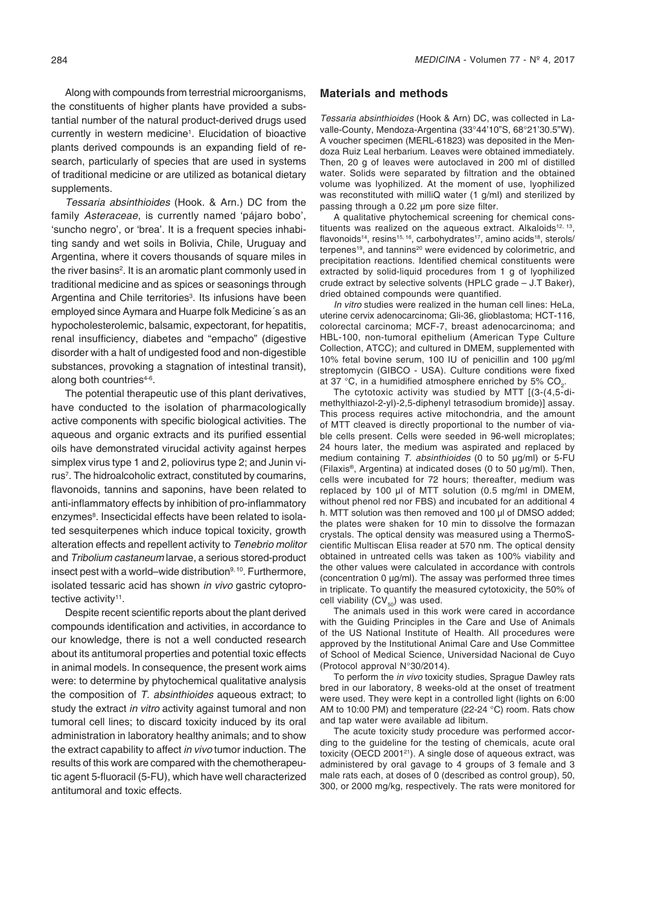Along with compounds from terrestrial microorganisms, the constituents of higher plants have provided a substantial number of the natural product-derived drugs used currently in western medicine1 . Elucidation of bioactive plants derived compounds is an expanding field of research, particularly of species that are used in systems of traditional medicine or are utilized as botanical dietary supplements.

*Tessaria absinthioides* (Hook. & Arn.) DC from the family *Asteraceae*, is currently named 'pájaro bobo', 'suncho negro', or 'brea'. It is a frequent species inhabiting sandy and wet soils in Bolivia, Chile, Uruguay and Argentina, where it covers thousands of square miles in the river basins<sup>2</sup>. It is an aromatic plant commonly used in traditional medicine and as spices or seasonings through Argentina and Chile territories<sup>3</sup>. Its infusions have been employed since Aymara and Huarpe folk Medicine´s as an hypocholesterolemic, balsamic, expectorant, for hepatitis, renal insufficiency, diabetes and "empacho" (digestive disorder with a halt of undigested food and non-digestible substances, provoking a stagnation of intestinal transit), along both countries $4-6$ .

The potential therapeutic use of this plant derivatives, have conducted to the isolation of pharmacologically active components with specific biological activities. The aqueous and organic extracts and its purified essential oils have demonstrated virucidal activity against herpes simplex virus type 1 and 2, poliovirus type 2; and Junin virus<sup>7</sup>. The hidroalcoholic extract, constituted by coumarins, flavonoids, tannins and saponins, have been related to anti-inflammatory effects by inhibition of pro-inflammatory enzymes<sup>8</sup>. Insecticidal effects have been related to isolated sesquiterpenes which induce topical toxicity, growth alteration effects and repellent activity to *Tenebrio molitor* and *Tribolium castaneum* larvae, a serious stored-product insect pest with a world–wide distribution<sup>9, 10</sup>. Furthermore, isolated tessaric acid has shown *in vivo* gastric cytoprotective activity<sup>11</sup>.

Despite recent scientific reports about the plant derived compounds identification and activities, in accordance to our knowledge, there is not a well conducted research about its antitumoral properties and potential toxic effects in animal models. In consequence, the present work aims were: to determine by phytochemical qualitative analysis the composition of *T. absinthioides* aqueous extract; to study the extract *in vitro* activity against tumoral and non tumoral cell lines; to discard toxicity induced by its oral administration in laboratory healthy animals; and to show the extract capability to affect *in vivo* tumor induction. The results of this work are compared with the chemotherapeutic agent 5-fluoracil (5-FU), which have well characterized antitumoral and toxic effects.

#### **Materials and methods**

*Tessaria absinthioides* (Hook & Arn) DC, was collected in Lavalle-County, Mendoza-Argentina (33°44'10"S, 68°21'30.5"W). A voucher specimen (MERL-61823) was deposited in the Mendoza Ruiz Leal herbarium. Leaves were obtained immediately. Then, 20 g of leaves were autoclaved in 200 ml of distilled water. Solids were separated by filtration and the obtained volume was lyophilized. At the moment of use, lyophilized was reconstituted with milliQ water (1 g/ml) and sterilized by passing through a 0.22 µm pore size filter.

A qualitative phytochemical screening for chemical constituents was realized on the aqueous extract. Alkaloids<sup>12, 13</sup>, flavonoids<sup>14</sup>, resins<sup>15, 16</sup>, carbohydrates<sup>17</sup>, amino acids<sup>18</sup>, sterols/ terpenes<sup>19</sup>, and tannins<sup>20</sup> were evidenced by colorimetric, and precipitation reactions. Identified chemical constituents were extracted by solid-liquid procedures from 1 g of lyophilized crude extract by selective solvents (HPLC grade – J.T Baker), dried obtained compounds were quantified.

*In vitro* studies were realized in the human cell lines: HeLa, uterine cervix adenocarcinoma; Gli-36, glioblastoma; HCT-116, colorectal carcinoma; MCF-7, breast adenocarcinoma; and HBL-100, non-tumoral epithelium (American Type Culture Collection, ATCC); and cultured in DMEM, supplemented with 10% fetal bovine serum, 100 IU of penicillin and 100 μg/ml streptomycin (GIBCO - USA). Culture conditions were fixed at 37 °C, in a humidified atmosphere enriched by 5%  $CO<sub>2</sub>$ .

The cytotoxic activity was studied by MTT [(3-(4,5-dimethylthiazol-2-yl)-2,5-diphenyl tetrasodium bromide)] assay. This process requires active mitochondria, and the amount of MTT cleaved is directly proportional to the number of viable cells present. Cells were seeded in 96-well microplates; 24 hours later, the medium was aspirated and replaced by medium containing *T. absinthioides* (0 to 50 μg/ml) or 5-FU (Filaxis®, Argentina) at indicated doses (0 to 50 μg/ml). Then, cells were incubated for 72 hours; thereafter, medium was replaced by 100 μl of MTT solution (0.5 mg/ml in DMEM, without phenol red nor FBS) and incubated for an additional 4 h. MTT solution was then removed and 100 μl of DMSO added; the plates were shaken for 10 min to dissolve the formazan crystals. The optical density was measured using a ThermoScientific Multiscan Elisa reader at 570 nm. The optical density obtained in untreated cells was taken as 100% viability and the other values were calculated in accordance with controls (concentration 0 µg/ml). The assay was performed three times in triplicate. To quantify the measured cytotoxicity, the 50% of cell viability  $(CV_{50})$  was used.

The animals used in this work were cared in accordance with the Guiding Principles in the Care and Use of Animals of the US National Institute of Health. All procedures were approved by the Institutional Animal Care and Use Committee of School of Medical Science, Universidad Nacional de Cuyo (Protocol approval N°30/2014).

To perform the *in vivo* toxicity studies, Sprague Dawley rats bred in our laboratory, 8 weeks-old at the onset of treatment were used. They were kept in a controlled light (lights on 6:00 AM to 10:00 PM) and temperature (22-24 °C) room. Rats chow and tap water were available ad libitum.

The acute toxicity study procedure was performed according to the guideline for the testing of chemicals, acute oral toxicity (OECD 2001<sup>21</sup>). A single dose of aqueous extract, was administered by oral gavage to 4 groups of 3 female and 3 male rats each, at doses of 0 (described as control group), 50, 300, or 2000 mg/kg, respectively. The rats were monitored for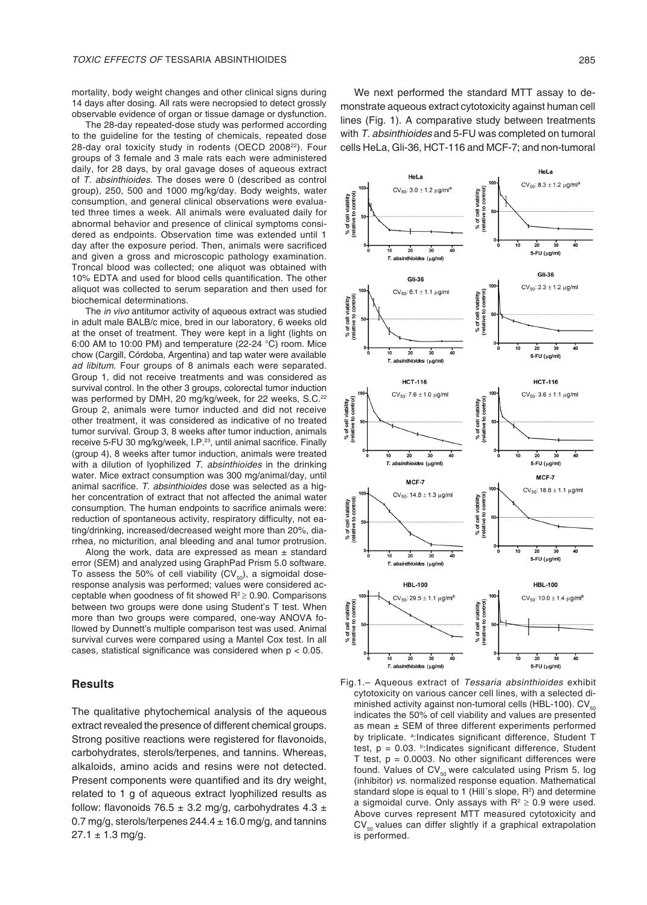mortality, body weight changes and other clinical signs during 14 days after dosing. All rats were necropsied to detect grossly observable evidence of organ or tissue damage or dysfunction.

The 28-day repeated-dose study was performed according to the guideline for the testing of chemicals, repeated dose 28-day oral toxicity study in rodents (OECD 2008<sup>22</sup>). Four groups of 3 female and 3 male rats each were administered daily, for 28 days, by oral gavage doses of aqueous extract of *T. absinthioides*. The doses were 0 (described as control group), 250, 500 and 1000 mg/kg/day. Body weights, water consumption, and general clinical observations were evaluated three times a week. All animals were evaluated daily for abnormal behavior and presence of clinical symptoms considered as endpoints. Observation time was extended until 1 day after the exposure period. Then, animals were sacrificed and given a gross and microscopic pathology examination. Troncal blood was collected; one aliquot was obtained with 10% EDTA and used for blood cells quantification. The other aliquot was collected to serum separation and then used for biochemical determinations.

The *in vivo* antitumor activity of aqueous extract was studied in adult male BALB/c mice, bred in our laboratory, 6 weeks old at the onset of treatment. They were kept in a light (lights on 6:00 AM to 10:00 PM) and temperature (22-24 °C) room. Mice chow (Cargill, Córdoba, Argentina) and tap water were available *ad libitum*. Four groups of 8 animals each were separated. Group 1, did not receive treatments and was considered as survival control. In the other 3 groups, colorectal tumor induction was performed by DMH, 20 mg/kg/week, for 22 weeks, S.C.<sup>22</sup> Group 2, animals were tumor inducted and did not receive other treatment, it was considered as indicative of no treated tumor survival. Group 3, 8 weeks after tumor induction, animals receive 5-FU 30 mg/kg/week, I.P.<sup>23</sup>, until animal sacrifice. Finally (group 4), 8 weeks after tumor induction, animals were treated with a dilution of lyophilized *T. absinthioides* in the drinking water. Mice extract consumption was 300 mg/animal/day, until animal sacrifice. *T. absinthioides* dose was selected as a higher concentration of extract that not affected the animal water consumption. The human endpoints to sacrifice animals were: reduction of spontaneous activity, respiratory difficulty, not eating/drinking, increased/decreased weight more than 20%, diarrhea, no micturition, anal bleeding and anal tumor protrusion.

Along the work, data are expressed as mean  $\pm$  standard error (SEM) and analyzed using GraphPad Prism 5.0 software. To assess the 50% of cell viability  $(CV_{50})$ , a sigmoidal doseresponse analysis was performed; values were considered acceptable when goodness of fit showed R<sup>2</sup>≥ 0.90. Comparisons between two groups were done using Student's T test. When more than two groups were compared, one-way ANOVA followed by Dunnett's multiple comparison test was used. Animal survival curves were compared using a Mantel Cox test. In all cases, statistical significance was considered when p < 0.05.

### **Results**

The qualitative phytochemical analysis of the aqueous extract revealed the presence of different chemical groups. Strong positive reactions were registered for flavonoids, carbohydrates, sterols/terpenes, and tannins. Whereas, alkaloids, amino acids and resins were not detected. Present components were quantified and its dry weight, related to 1 g of aqueous extract lyophilized results as follow: flavonoids 76.5  $\pm$  3.2 mg/g, carbohydrates 4.3  $\pm$ 0.7 mg/g, sterols/terpenes  $244.4 \pm 16.0$  mg/g, and tannins  $27.1 \pm 1.3$  mg/g.

We next performed the standard MTT assay to demonstrate aqueous extract cytotoxicity against human cell lines (Fig. 1). A comparative study between treatments with *T. absinthioides* and 5-FU was completed on tumoral cells HeLa, Gli-36, HCT-116 and MCF-7; and non-tumoral



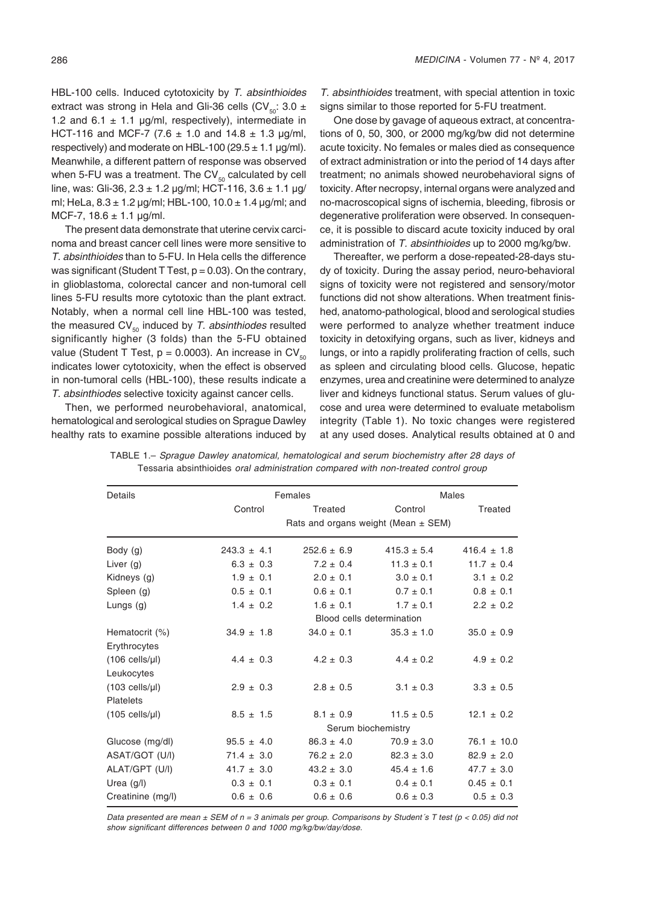HBL-100 cells. Induced cytotoxicity by *T. absinthioides* extract was strong in Hela and Gli-36 cells (CV<sub>50</sub>: 3.0 ± 1.2 and 6.1  $\pm$  1.1 µg/ml, respectively), intermediate in HCT-116 and MCF-7 (7.6  $\pm$  1.0 and 14.8  $\pm$  1.3 µg/ml, respectively) and moderate on HBL-100 (29.5  $\pm$  1.1 µg/ml). Meanwhile, a different pattern of response was observed when 5-FU was a treatment. The  $CV_{50}$  calculated by cell line, was: Gli-36, 2.3 ± 1.2 μg/ml; HCT-116, 3.6 ± 1.1 μg/ ml; HeLa,  $8.3 \pm 1.2$  µg/ml; HBL-100,  $10.0 \pm 1.4$  µg/ml; and MCF-7,  $18.6 \pm 1.1$  µg/ml.

The present data demonstrate that uterine cervix carcinoma and breast cancer cell lines were more sensitive to *T. absinthioides* than to 5-FU. In Hela cells the difference was significant (Student T Test,  $p = 0.03$ ). On the contrary, in glioblastoma, colorectal cancer and non-tumoral cell lines 5-FU results more cytotoxic than the plant extract. Notably, when a normal cell line HBL-100 was tested, the measured CV<sub>50</sub> induced by *T. absinthiodes* resulted significantly higher (3 folds) than the 5-FU obtained value (Student T Test,  $p = 0.0003$ ). An increase in CV<sub>50</sub> indicates lower cytotoxicity, when the effect is observed in non-tumoral cells (HBL-100), these results indicate a *T. absinthiodes* selective toxicity against cancer cells.

Then, we performed neurobehavioral, anatomical, hematological and serological studies on Sprague Dawley healthy rats to examine possible alterations induced by

*T. absinthioides* treatment, with special attention in toxic signs similar to those reported for 5-FU treatment.

One dose by gavage of aqueous extract, at concentrations of 0, 50, 300, or 2000 mg/kg/bw did not determine acute toxicity. No females or males died as consequence of extract administration or into the period of 14 days after treatment; no animals showed neurobehavioral signs of toxicity. After necropsy, internal organs were analyzed and no-macroscopical signs of ischemia, bleeding, fibrosis or degenerative proliferation were observed. In consequence, it is possible to discard acute toxicity induced by oral administration of *T. absinthioides* up to 2000 mg/kg/bw.

Thereafter, we perform a dose-repeated-28-days study of toxicity. During the assay period, neuro-behavioral signs of toxicity were not registered and sensory/motor functions did not show alterations. When treatment finished, anatomo-pathological, blood and serological studies were performed to analyze whether treatment induce toxicity in detoxifying organs, such as liver, kidneys and lungs, or into a rapidly proliferating fraction of cells, such as spleen and circulating blood cells. Glucose, hepatic enzymes, urea and creatinine were determined to analyze liver and kidneys functional status. Serum values of glucose and urea were determined to evaluate metabolism integrity (Table 1). No toxic changes were registered at any used doses. Analytical results obtained at 0 and

| Details                | Females         |                                         | Males           |                 |  |
|------------------------|-----------------|-----------------------------------------|-----------------|-----------------|--|
|                        | Control         | Treated                                 | Control         | Treated         |  |
|                        |                 | Rats and organs weight (Mean $\pm$ SEM) |                 |                 |  |
| Body (g)               | $243.3 \pm 4.1$ | $252.6 \pm 6.9$                         | $415.3 \pm 5.4$ | $416.4 \pm 1.8$ |  |
| Liver $(g)$            | $6.3 \pm 0.3$   | $7.2 \pm 0.4$                           | $11.3 \pm 0.1$  | $11.7 \pm 0.4$  |  |
| Kidneys (g)            | $1.9 \pm 0.1$   | $2.0 \pm 0.1$                           | $3.0 \pm 0.1$   | $3.1 \pm 0.2$   |  |
| Spleen (g)             | $0.5 \pm 0.1$   | $0.6 \pm 0.1$                           | $0.7 \pm 0.1$   | $0.8 \pm 0.1$   |  |
| Lungs $(g)$            | $1.4 \pm 0.2$   | $1.6 \pm 0.1$                           | $1.7 \pm 0.1$   | $2.2 \pm 0.2$   |  |
|                        |                 | Blood cells determination               |                 |                 |  |
| Hematocrit (%)         | $34.9 \pm 1.8$  | $34.0 \pm 0.1$                          | $35.3 \pm 1.0$  | $35.0 \pm 0.9$  |  |
| Erythrocytes           |                 |                                         |                 |                 |  |
| $(106$ cells/ $\mu$ l) | $4.4 \pm 0.3$   | $4.2 \pm 0.3$                           | $4.4 \pm 0.2$   | $4.9 \pm 0.2$   |  |
| Leukocytes             |                 |                                         |                 |                 |  |
| $(103$ cells/ $\mu$ l) | $2.9 \pm 0.3$   | $2.8 \pm 0.5$                           | $3.1 \pm 0.3$   | $3.3 \pm 0.5$   |  |
| <b>Platelets</b>       |                 |                                         |                 |                 |  |
| $(105$ cells/ $\mu$ l) | $8.5 \pm 1.5$   | $8.1 \pm 0.9$                           | $11.5 \pm 0.5$  | $12.1 \pm 0.2$  |  |
|                        |                 | Serum biochemistry                      |                 |                 |  |
| Glucose (mg/dl)        | $95.5 \pm 4.0$  | $86.3 \pm 4.0$                          | $70.9 \pm 3.0$  | $76.1 \pm 10.0$ |  |
| ASAT/GOT (U/I)         | $71.4 \pm 3.0$  | $76.2 \pm 2.0$                          | $82.3 \pm 3.0$  | $82.9 \pm 2.0$  |  |
| ALAT/GPT (U/I)         | $41.7 \pm 3.0$  | $43.2 \pm 3.0$                          | $45.4 \pm 1.6$  | $47.7 \pm 3.0$  |  |
| Urea $(g/l)$           | $0.3 \pm 0.1$   | $0.3 \pm 0.1$                           | $0.4 \pm 0.1$   | $0.45 \pm 0.1$  |  |
| Creatinine (mg/l)      | $0.6 \pm 0.6$   | $0.6 \pm 0.6$                           | $0.6 \pm 0.3$   | $0.5 \pm 0.3$   |  |

TABLE 1.– *Sprague Dawley anatomical, hematological and serum biochemistry after 28 days of*  Tessaria absinthioides *oral administration compared with non-treated control group*

*Data presented are mean ± SEM of n = 3 animals per group. Comparisons by Student´s T test (p < 0.05) did not*  show significant differences between 0 and 1000 mg/kg/bw/day/dose.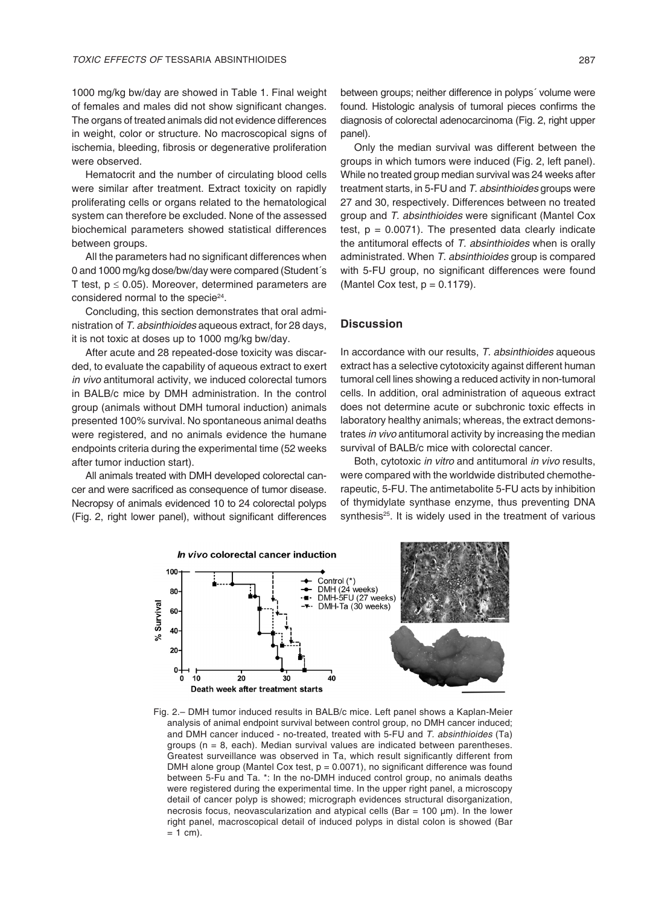1000 mg/kg bw/day are showed in Table 1. Final weight of females and males did not show significant changes. The organs of treated animals did not evidence differences in weight, color or structure. No macroscopical signs of ischemia, bleeding, fibrosis or degenerative proliferation were observed.

Hematocrit and the number of circulating blood cells were similar after treatment. Extract toxicity on rapidly proliferating cells or organs related to the hematological system can therefore be excluded. None of the assessed biochemical parameters showed statistical differences between groups.

All the parameters had no significant differences when 0 and 1000 mg/kg dose/bw/day were compared (Student´s T test,  $p \le 0.05$ ). Moreover, determined parameters are considered normal to the specie<sup>24</sup>.

Concluding, this section demonstrates that oral administration of *T. absinthioides* aqueous extract, for 28 days, it is not toxic at doses up to 1000 mg/kg bw/day.

After acute and 28 repeated-dose toxicity was discarded, to evaluate the capability of aqueous extract to exert *in vivo* antitumoral activity, we induced colorectal tumors in BALB/c mice by DMH administration. In the control group (animals without DMH tumoral induction) animals presented 100% survival. No spontaneous animal deaths were registered, and no animals evidence the humane endpoints criteria during the experimental time (52 weeks after tumor induction start).

All animals treated with DMH developed colorectal cancer and were sacrificed as consequence of tumor disease. Necropsy of animals evidenced 10 to 24 colorectal polyps (Fig. 2, right lower panel), without significant differences

between groups; neither difference in polyps´ volume were found. Histologic analysis of tumoral pieces confirms the diagnosis of colorectal adenocarcinoma (Fig. 2, right upper panel).

Only the median survival was different between the groups in which tumors were induced (Fig. 2, left panel). While no treated group median survival was 24 weeks after treatment starts, in 5-FU and *T. absinthioides* groups were 27 and 30, respectively. Differences between no treated group and *T. absinthioides* were significant (Mantel Cox test,  $p = 0.0071$ ). The presented data clearly indicate the antitumoral effects of *T. absinthioides* when is orally administrated. When *T. absinthioides* group is compared with 5-FU group, no significant differences were found (Mantel Cox test,  $p = 0.1179$ ).

## **Discussion**

In accordance with our results, *T. absinthioides* aqueous extract has a selective cytotoxicity against different human tumoral cell lines showing a reduced activity in non-tumoral cells. In addition, oral administration of aqueous extract does not determine acute or subchronic toxic effects in laboratory healthy animals; whereas, the extract demonstrates *in vivo* antitumoral activity by increasing the median survival of BALB/c mice with colorectal cancer.

Both, cytotoxic *in vitro* and antitumoral *in vivo* results, were compared with the worldwide distributed chemotherapeutic, 5-FU. The antimetabolite 5-FU acts by inhibition of thymidylate synthase enzyme, thus preventing DNA synthesis<sup>25</sup>. It is widely used in the treatment of various



Fig. 2.– DMH tumor induced results in BALB/c mice. Left panel shows a Kaplan-Meier analysis of animal endpoint survival between control group, no DMH cancer induced; and DMH cancer induced - no-treated, treated with 5-FU and *T. absinthioides* (Ta) groups ( $n = 8$ , each). Median survival values are indicated between parentheses. Greatest surveillance was observed in Ta, which result significantly different from DMH alone group (Mantel Cox test,  $p = 0.0071$ ), no significant difference was found between 5-Fu and Ta. \*: In the no-DMH induced control group, no animals deaths were registered during the experimental time. In the upper right panel, a microscopy detail of cancer polyp is showed; micrograph evidences structural disorganization, necrosis focus, neovascularization and atypical cells (Bar =  $100 \mu m$ ). In the lower right panel, macroscopical detail of induced polyps in distal colon is showed (Bar  $= 1$  cm).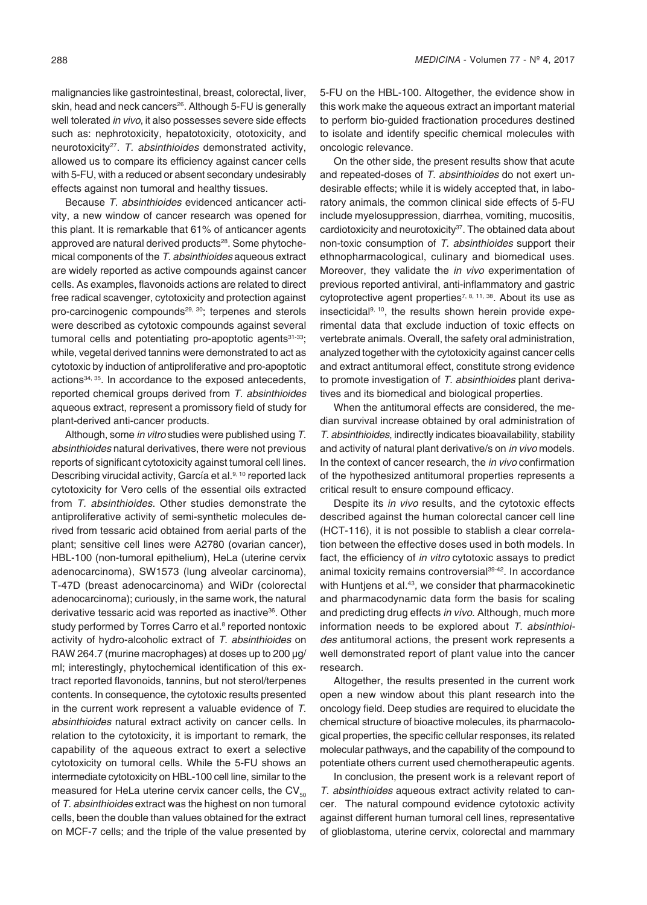malignancies like gastrointestinal, breast, colorectal, liver, skin, head and neck cancers<sup>26</sup>. Although 5-FU is generally well tolerated *in vivo*, it also possesses severe side effects such as: nephrotoxicity, hepatotoxicity, ototoxicity, and neurotoxicity27. *T. absinthioides* demonstrated activity, allowed us to compare its efficiency against cancer cells with 5-FU, with a reduced or absent secondary undesirably effects against non tumoral and healthy tissues.

Because *T. absinthioides* evidenced anticancer activity, a new window of cancer research was opened for this plant. It is remarkable that 61% of anticancer agents approved are natural derived products<sup>28</sup>. Some phytochemical components of the *T. absinthioides* aqueous extract are widely reported as active compounds against cancer cells. As examples, flavonoids actions are related to direct free radical scavenger, cytotoxicity and protection against pro-carcinogenic compounds<sup>29, 30</sup>; terpenes and sterols were described as cytotoxic compounds against several tumoral cells and potentiating pro-apoptotic agents<sup>31-33</sup>; while, vegetal derived tannins were demonstrated to act as cytotoxic by induction of antiproliferative and pro-apoptotic actions<sup>34, 35</sup>. In accordance to the exposed antecedents, reported chemical groups derived from *T. absinthioides* aqueous extract, represent a promissory field of study for plant-derived anti-cancer products.

Although, some *in vitro* studies were published using *T. absinthioides* natural derivatives, there were not previous reports of significant cytotoxicity against tumoral cell lines. Describing virucidal activity, García et al.<sup>9, 10</sup> reported lack cytotoxicity for Vero cells of the essential oils extracted from *T. absinthioides*. Other studies demonstrate the antiproliferative activity of semi-synthetic molecules derived from tessaric acid obtained from aerial parts of the plant; sensitive cell lines were A2780 (ovarian cancer), HBL-100 (non-tumoral epithelium), HeLa (uterine cervix adenocarcinoma), SW1573 (lung alveolar carcinoma), T-47D (breast adenocarcinoma) and WiDr (colorectal adenocarcinoma); curiously, in the same work, the natural derivative tessaric acid was reported as inactive<sup>36</sup>. Other study performed by Torres Carro et al.<sup>8</sup> reported nontoxic activity of hydro-alcoholic extract of *T. absinthioides* on RAW 264.7 (murine macrophages) at doses up to 200 μg/ ml; interestingly, phytochemical identification of this extract reported flavonoids, tannins, but not sterol/terpenes contents. In consequence, the cytotoxic results presented in the current work represent a valuable evidence of *T. absinthioides* natural extract activity on cancer cells. In relation to the cytotoxicity, it is important to remark, the capability of the aqueous extract to exert a selective cytotoxicity on tumoral cells. While the 5-FU shows an intermediate cytotoxicity on HBL-100 cell line, similar to the measured for HeLa uterine cervix cancer cells, the  $CV_{50}$ of *T. absinthioides* extract was the highest on non tumoral cells, been the double than values obtained for the extract on MCF-7 cells; and the triple of the value presented by

5-FU on the HBL-100. Altogether, the evidence show in this work make the aqueous extract an important material to perform bio-guided fractionation procedures destined to isolate and identify specific chemical molecules with oncologic relevance.

On the other side, the present results show that acute and repeated-doses of *T. absinthioides* do not exert undesirable effects; while it is widely accepted that, in laboratory animals, the common clinical side effects of 5-FU include myelosuppression, diarrhea, vomiting, mucositis, cardiotoxicity and neurotoxicity<sup>37</sup>. The obtained data about non-toxic consumption of *T. absinthioides* support their ethnopharmacological, culinary and biomedical uses. Moreover, they validate the *in vivo* experimentation of previous reported antiviral, anti-inflammatory and gastric cytoprotective agent properties<sup>7, 8, 11, 38</sup>. About its use as insecticidal<sup>9, 10</sup>, the results shown herein provide experimental data that exclude induction of toxic effects on vertebrate animals. Overall, the safety oral administration, analyzed together with the cytotoxicity against cancer cells and extract antitumoral effect, constitute strong evidence to promote investigation of *T. absinthioides* plant derivatives and its biomedical and biological properties.

When the antitumoral effects are considered, the median survival increase obtained by oral administration of *T. absinthioides*, indirectly indicates bioavailability, stability and activity of natural plant derivative/s on *in vivo* models. In the context of cancer research, the *in vivo* confirmation of the hypothesized antitumoral properties represents a critical result to ensure compound efficacy.

Despite its *in vivo* results, and the cytotoxic effects described against the human colorectal cancer cell line (HCT-116), it is not possible to stablish a clear correlation between the effective doses used in both models. In fact, the efficiency of *in vitro* cytotoxic assays to predict animal toxicity remains controversial<sup>39-42</sup>. In accordance with Huntjens et al*.* <sup>43</sup>*,* we consider that pharmacokinetic and pharmacodynamic data form the basis for scaling and predicting drug effects *in vivo*. Although, much more information needs to be explored about *T. absinthioides* antitumoral actions, the present work represents a well demonstrated report of plant value into the cancer research.

Altogether, the results presented in the current work open a new window about this plant research into the oncology field. Deep studies are required to elucidate the chemical structure of bioactive molecules, its pharmacological properties, the specific cellular responses, its related molecular pathways, and the capability of the compound to potentiate others current used chemotherapeutic agents.

In conclusion, the present work is a relevant report of *T. absinthioides* aqueous extract activity related to cancer. The natural compound evidence cytotoxic activity against different human tumoral cell lines, representative of glioblastoma, uterine cervix, colorectal and mammary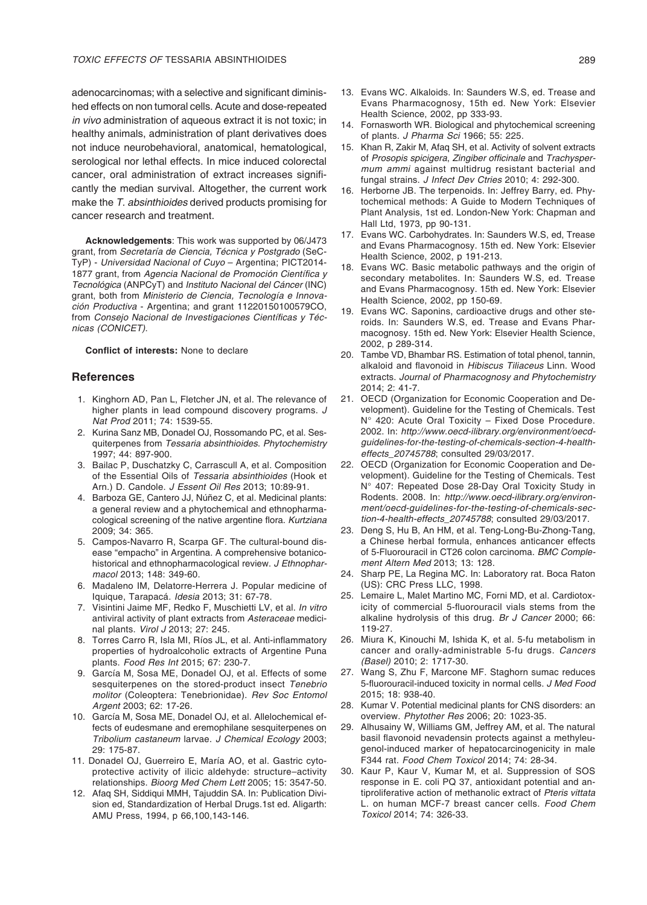adenocarcinomas; with a selective and significant diminished effects on non tumoral cells. Acute and dose-repeated *in vivo* administration of aqueous extract it is not toxic; in healthy animals, administration of plant derivatives does not induce neurobehavioral, anatomical, hematological, serological nor lethal effects. In mice induced colorectal cancer, oral administration of extract increases significantly the median survival. Altogether, the current work make the *T. absinthioides* derived products promising for cancer research and treatment.

**Acknowledgements**: This work was supported by 06/J473 grant, from *Secretaría de Ciencia, Técnica y Postgrado* (SeC-TyP) - *Universidad Nacional of Cuyo* – Argentina; PICT2014- 1877 grant, from Agencia Nacional de Promoción Científica y *Tecnológica* (ANPCyT) and *Instituto Nacional del Cáncer* (INC) grant, both from *Ministerio de Ciencia, Tecnología e Innovación Productiva* - Argentina; and grant 11220150100579CO, from Consejo Nacional de Investigaciones Científicas y Téc*nicas (CONICET)*.

**Conflict of interests:** None to declare

#### **References**

- 1. Kinghorn AD, Pan L, Fletcher JN, et al. The relevance of higher plants in lead compound discovery programs. *J Nat Prod* 2011; 74: 1539-55.
- 2. Kurina Sanz MB, Donadel OJ, Rossomando PC, et al. Sesquiterpenes from *Tessaria absinthioides*. *Phytochemistry* 1997; 44: 897-900.
- 3. Bailac P, Duschatzky C, Carrascull A, et al. Composition of the Essential Oils of *Tessaria absinthioides* (Hook et Arn.) D. Candole. *J Essent Oil Res* 2013; 10:89-91.
- 4. Barboza GE, Cantero JJ, Núñez C, et al. Medicinal plants: a general review and a phytochemical and ethnopharmacological screening of the native argentine flora. *Kurtziana* 2009; 34: 365.
- 5. Campos-Navarro R, Scarpa GF. The cultural-bound disease "empacho" in Argentina. A comprehensive botanicohistorical and ethnopharmacological review. *J Ethnopharmacol* 2013; 148: 349-60.
- 6. Madaleno IM, Delatorre-Herrera J. Popular medicine of Iquique, Tarapacá. *Idesia* 2013; 31: 67-78.
- 7. Visintini Jaime MF, Redko F, Muschietti LV, et al. *In vitro* antiviral activity of plant extracts from *Asteraceae* medicinal plants. *Virol J* 2013; 27: 245.
- 8. Torres Carro R, Isla MI, Ríos JL, et al. Anti-inflammatory properties of hydroalcoholic extracts of Argentine Puna plants. *Food Res Int* 2015; 67: 230-7.
- 9. García M, Sosa ME, Donadel OJ, et al. Effects of some sesquiterpenes on the stored-product insect *Tenebrio molitor* (Coleoptera: Tenebrionidae). *Rev Soc Entomol Argent* 2003; 62: 17-26.
- 10. García M, Sosa ME, Donadel OJ, et al. Allelochemical effects of eudesmane and eremophilane sesquiterpenes on *Tribolium castaneum* larvae. *J Chemical Ecology* 2003; 29: 175-87.
- 11. Donadel OJ, Guerreiro E, María AO, et al. Gastric cytoprotective activity of ilicic aldehyde: structure–activity relationships. *Bioorg Med Chem Lett* 2005; 15: 3547-50.
- 12. Afaq SH, Siddiqui MMH, Tajuddin SA. In: Publication Division ed, Standardization of Herbal Drugs.1st ed. Aligarth: AMU Press, 1994, p 66,100,143-146.
- 13. Evans WC. Alkaloids. In: Saunders W.S, ed. Trease and Evans Pharmacognosy, 15th ed. New York: Elsevier Health Science, 2002, pp 333-93.
- 14. Fornasworth WR. Biological and phytochemical screening of plants. *J Pharma Sci* 1966; 55: 225.
- 15. Khan R, Zakir M, Afaq SH, et al. Activity of solvent extracts of *Prosopis spicigera*, Zingiber officinale and *Trachyspermum ammi* against multidrug resistant bacterial and fungal strains. *J Infect Dev Ctries* 2010; 4: 292-300.
- 16. Herborne JB. The terpenoids. In: Jeffrey Barry, ed. Phytochemical methods: A Guide to Modern Techniques of Plant Analysis, 1st ed. London-New York: Chapman and Hall Ltd, 1973, pp 90-131.
- 17. Evans WC. Carbohydrates. In: Saunders W.S, ed, Trease and Evans Pharmacognosy. 15th ed. New York: Elsevier Health Science, 2002, p 191-213.
- 18. Evans WC. Basic metabolic pathways and the origin of secondary metabolites. In: Saunders W.S, ed. Trease and Evans Pharmacognosy. 15th ed. New York: Elsevier Health Science, 2002, pp 150-69.
- 19. Evans WC. Saponins, cardioactive drugs and other steroids. In: Saunders W.S, ed. Trease and Evans Pharmacognosy. 15th ed. New York: Elsevier Health Science, 2002, p 289-314.
- 20. Tambe VD, Bhambar RS. Estimation of total phenol, tannin, alkaloid and flavonoid in *Hibiscus Tiliaceus* Linn. Wood extracts. *Journal of Pharmacognosy and Phytochemistry* 2014; 2: 41-7.
- 21. OECD (Organization for Economic Cooperation and Development). Guideline for the Testing of Chemicals. Test N° 420: Acute Oral Toxicity – Fixed Dose Procedure. 2002. In: http://www.oecd-ilibrary.org/environment/oecd*guidelines-for-the-testing-of-chemicals-section-4-healtheffects\_20745788*; consulted 29/03/2017.
- 22. OECD (Organization for Economic Cooperation and Development). Guideline for the Testing of Chemicals. Test N° 407: Repeated Dose 28-Day Oral Toxicity Study in Rodents. 2008. In: http://www.oecd-ilibrary.org/environment/oecd-guidelines-for-the-testing-of-chemicals-sec*tion-4-health-effects\_20745788*; consulted 29/03/2017.
- 23. Deng S, Hu B, An HM, et al. Teng-Long-Bu-Zhong-Tang, a Chinese herbal formula, enhances anticancer effects of 5-Fluorouracil in CT26 colon carcinoma. *BMC Complement Altern Med* 2013; 13: 128.
- 24. Sharp PE, La Regina MC. In: Laboratory rat. Boca Raton (US): CRC Press LLC, 1998.
- 25. Lemaire L, Malet Martino MC, Forni MD, et al. Cardiotoxicity of commercial 5-fluorouracil vials stems from the alkaline hydrolysis of this drug. *Br J Cancer* 2000; 66: 119-27.
- 26. Miura K, Kinouchi M, Ishida K, et al. 5-fu metabolism in cancer and orally-administrable 5-fu drugs. *Cancers (Basel)* 2010; 2: 1717-30.
- 27. Wang S, Zhu F, Marcone MF. Staghorn sumac reduces 5-fluorouracil-induced toxicity in normal cells. *J Med Food* 2015; 18: 938-40.
- 28. Kumar V. Potential medicinal plants for CNS disorders: an overview. *Phytother Res* 2006; 20: 1023-35.
- 29. Alhusainy W, Williams GM, Jeffrey AM, et al. The natural basil flavonoid nevadensin protects against a methyleugenol-induced marker of hepatocarcinogenicity in male F344 rat. *Food Chem Toxicol* 2014; 74: 28-34.
- 30. Kaur P, Kaur V, Kumar M, et al. Suppression of SOS response in E. coli PQ 37, antioxidant potential and antiproliferative action of methanolic extract of *Pteris vittata* L. on human MCF-7 breast cancer cells. *Food Chem Toxicol* 2014; 74: 326-33.